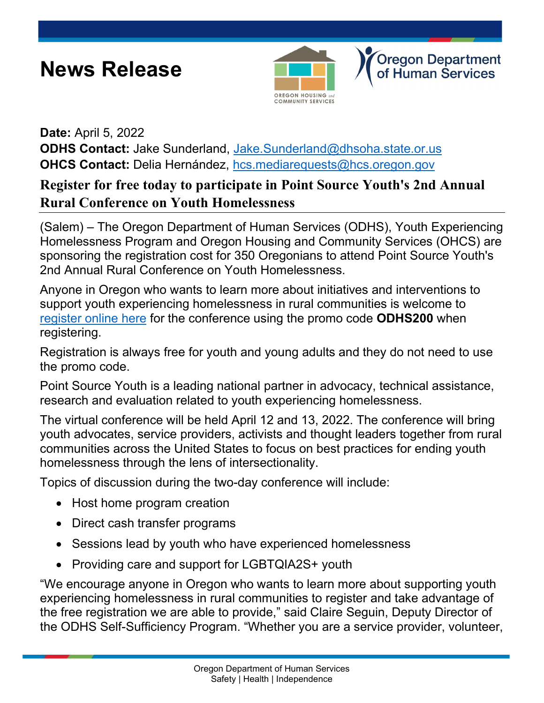# **News Release**



**Oregon Department** of Human Services

#### **Date:** April 5, 2022

**ODHS Contact:** Jake Sunderland, [Jake.Sunderland@dhsoha.state.or.us](mailto:Jake.Sunderland@dhsoha.state.or.us) **OHCS Contact:** Delia Hernández, [hcs.mediarequests@hcs.oregon.gov](mailto:hcs.mediarequests@hcs.oregon.gov)

## **Register for free today to participate in Point Source Youth's 2nd Annual Rural Conference on Youth Homelessness**

(Salem) – The Oregon Department of Human Services (ODHS), Youth Experiencing Homelessness Program and Oregon Housing and Community Services (OHCS) are sponsoring the registration cost for 350 Oregonians to attend Point Source Youth's 2nd Annual Rural Conference on Youth Homelessness.

Anyone in Oregon who wants to learn more about initiatives and interventions to support youth experiencing homelessness in rural communities is welcome to [register online here](https://www.eventbrite.com/e/point-source-youths-2nd-annual-rural-conference-on-youth-homelessness-tickets-261344898627) for the conference using the promo code **ODHS200** when registering.

Registration is always free for youth and young adults and they do not need to use the promo code.

Point Source Youth is a leading national partner in advocacy, technical assistance, research and evaluation related to youth experiencing homelessness.

The virtual conference will be held April 12 and 13, 2022. The conference will bring youth advocates, service providers, activists and thought leaders together from rural communities across the United States to focus on best practices for ending youth homelessness through the lens of intersectionality.

Topics of discussion during the two-day conference will include:

- Host home program creation
- Direct cash transfer programs
- Sessions lead by youth who have experienced homelessness
- Providing care and support for LGBTQIA2S+ youth

"We encourage anyone in Oregon who wants to learn more about supporting youth experiencing homelessness in rural communities to register and take advantage of the free registration we are able to provide," said Claire Seguin, Deputy Director of the ODHS Self-Sufficiency Program. "Whether you are a service provider, volunteer,